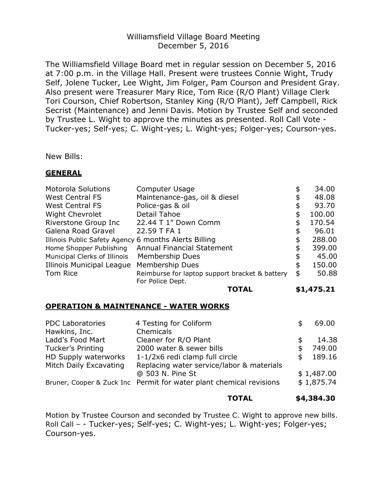## Williamsfield Village Board Meeting December 5, 2016

The Williamsfield Village Board met in regular session on December 5, 2016 at 7:00 p.m. in the Village Hall. Present were trustees Connie Wight, Trudy Self, Jolene Tucker, Lee Wight, Jim Folger, Pam Courson and President Gray. Also present were Treasurer Mary Rice, Tom Rice (R/O Plant) Village Clerk Tori Courson, Chief Robertson, Stanley King (R/O Plant), Jeff Campbell, Rick Secrist (Maintenance) and Jenni Davis. Motion by Trustee Self and seconded by Trustee L. Wight to approve the minutes as presented. Roll Call Vote - Tucker-yes; Self-yes; C. Wight-yes; L. Wight-yes; Folger-yes; Courson-yes.

New Bills:

### **GENERAL**

|                                                              | TOTAL                                          |    | \$1,475.21 |
|--------------------------------------------------------------|------------------------------------------------|----|------------|
|                                                              | For Police Dept.                               |    |            |
| Tom Rice                                                     | Reimburse for laptop support bracket & battery | \$ | 50.88      |
| Illinois Municipal League                                    | Membership Dues                                | \$ | 150.00     |
| <b>Membership Dues</b><br>Municipal Clerks of Illinois       |                                                | \$ | 45.00      |
| <b>Annual Financial Statement</b><br>Home Shopper Publishing |                                                | \$ | 399.00     |
| Illinois Public Safety Agency 6 months Alerts Billing        |                                                |    | 288.00     |
| Galena Road Gravel                                           | 22.59 T FA 1                                   |    | 96.01      |
| Riverstone Group Inc                                         | 22.44 T 1" Down Comm                           |    | 170.54     |
| <b>Wight Chevrolet</b>                                       | Detail Tahoe                                   | \$ | 100.00     |
| <b>West Central FS</b>                                       | Police-gas & oil                               | \$ | 93.70      |
| <b>West Central FS</b>                                       | Maintenance-gas, oil & diesel                  | \$ | 48.08      |
| <b>Motorola Solutions</b>                                    | Computer Usage                                 | \$ | 34.00      |
|                                                              |                                                |    |            |

### **OPERATION & MAINTENANCE - WATER WORKS**

| 4 Testing for Coliform                                              | 69.00      |
|---------------------------------------------------------------------|------------|
| Chemicals                                                           |            |
| Cleaner for R/O Plant                                               | 14.38      |
| 2000 water & sewer bills                                            | 749.00     |
| 1-1/2x6 redi clamp full circle                                      | 189.16     |
| Replacing water service/labor & materials                           |            |
| @ 503 N. Pine St                                                    | \$1,487.00 |
| Bruner, Cooper & Zuck Inc Permit for water plant chemical revisions | \$1,875.74 |
|                                                                     |            |

#### **TOTAL \$4,384.30**

Motion by Trustee Courson and seconded by Trustee C. Wight to approve new bills. Roll Call – - Tucker-yes; Self-yes; C. Wight-yes; L. Wight-yes; Folger-yes; Courson-yes.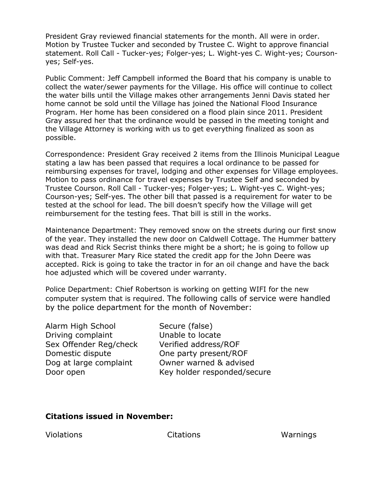President Gray reviewed financial statements for the month. All were in order. Motion by Trustee Tucker and seconded by Trustee C. Wight to approve financial statement. Roll Call - Tucker-yes; Folger-yes; L. Wight-yes C. Wight-yes; Coursonyes; Self-yes.

Public Comment: Jeff Campbell informed the Board that his company is unable to collect the water/sewer payments for the Village. His office will continue to collect the water bills until the Village makes other arrangements Jenni Davis stated her home cannot be sold until the Village has joined the National Flood Insurance Program. Her home has been considered on a flood plain since 2011. President Gray assured her that the ordinance would be passed in the meeting tonight and the Village Attorney is working with us to get everything finalized as soon as possible.

Correspondence: President Gray received 2 items from the Illinois Municipal League stating a law has been passed that requires a local ordinance to be passed for reimbursing expenses for travel, lodging and other expenses for Village employees. Motion to pass ordinance for travel expenses by Trustee Self and seconded by Trustee Courson. Roll Call - Tucker-yes; Folger-yes; L. Wight-yes C. Wight-yes; Courson-yes; Self-yes. The other bill that passed is a requirement for water to be tested at the school for lead. The bill doesn't specify how the Village will get reimbursement for the testing fees. That bill is still in the works.

Maintenance Department: They removed snow on the streets during our first snow of the year. They installed the new door on Caldwell Cottage. The Hummer battery was dead and Rick Secrist thinks there might be a short; he is going to follow up with that. Treasurer Mary Rice stated the credit app for the John Deere was accepted. Rick is going to take the tractor in for an oil change and have the back hoe adjusted which will be covered under warranty.

Police Department: Chief Robertson is working on getting WIFI for the new computer system that is required. The following calls of service were handled by the police department for the month of November:

Alarm High School Secure (false) Driving complaint Unable to locate Sex Offender Reg/check Verified address/ROF Domestic dispute **One party present/ROF** 

Dog at large complaint Owner warned & advised Door open Key holder responded/secure

# **Citations issued in November:**

Violations Citations Warnings